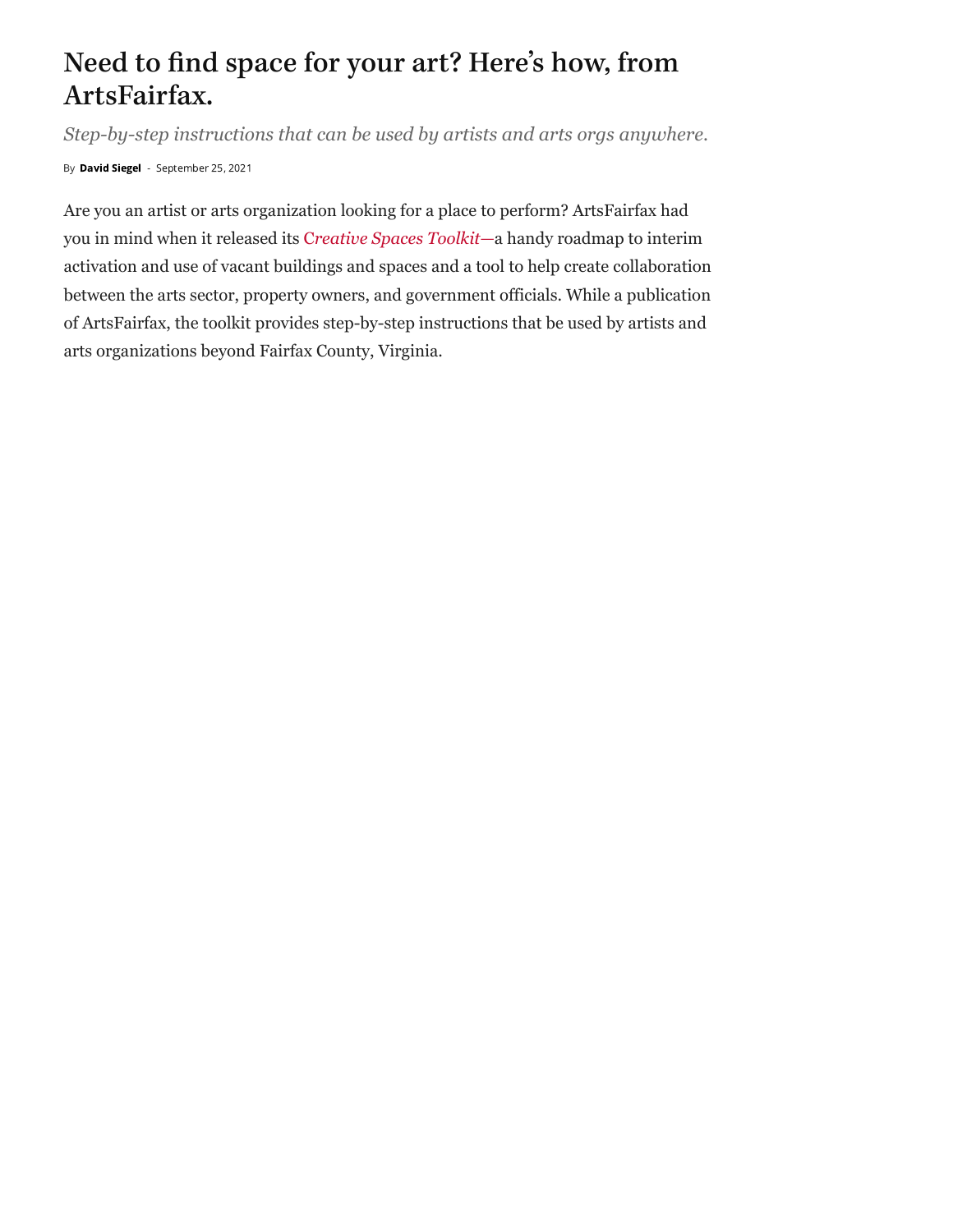## Need to find space for your art? Here ' s how, from ArtsFairfax.

*Step-by-step instructions that can be used by artists and arts orgs anywhere.*

By David [Siegel](https://dcmetrotheaterarts.com/author/david-siegel/) - September 25, 2021

Are you an artist or arts organization looking for a place to perform? ArtsFairfax had you in mind when it released its C*reative Spaces [Toolkit—](https://artsfairfax.org/creative-spaces/)*a handy roadmap to interim activation and use of vacant buildings and spaces and a tool to help create collaboration between the arts sector, property owners, and government officials. While a publication of ArtsFairfax, the toolkit provides step-by-step instructions that be used by artists and arts organizations beyond Fairfax County, Virginia.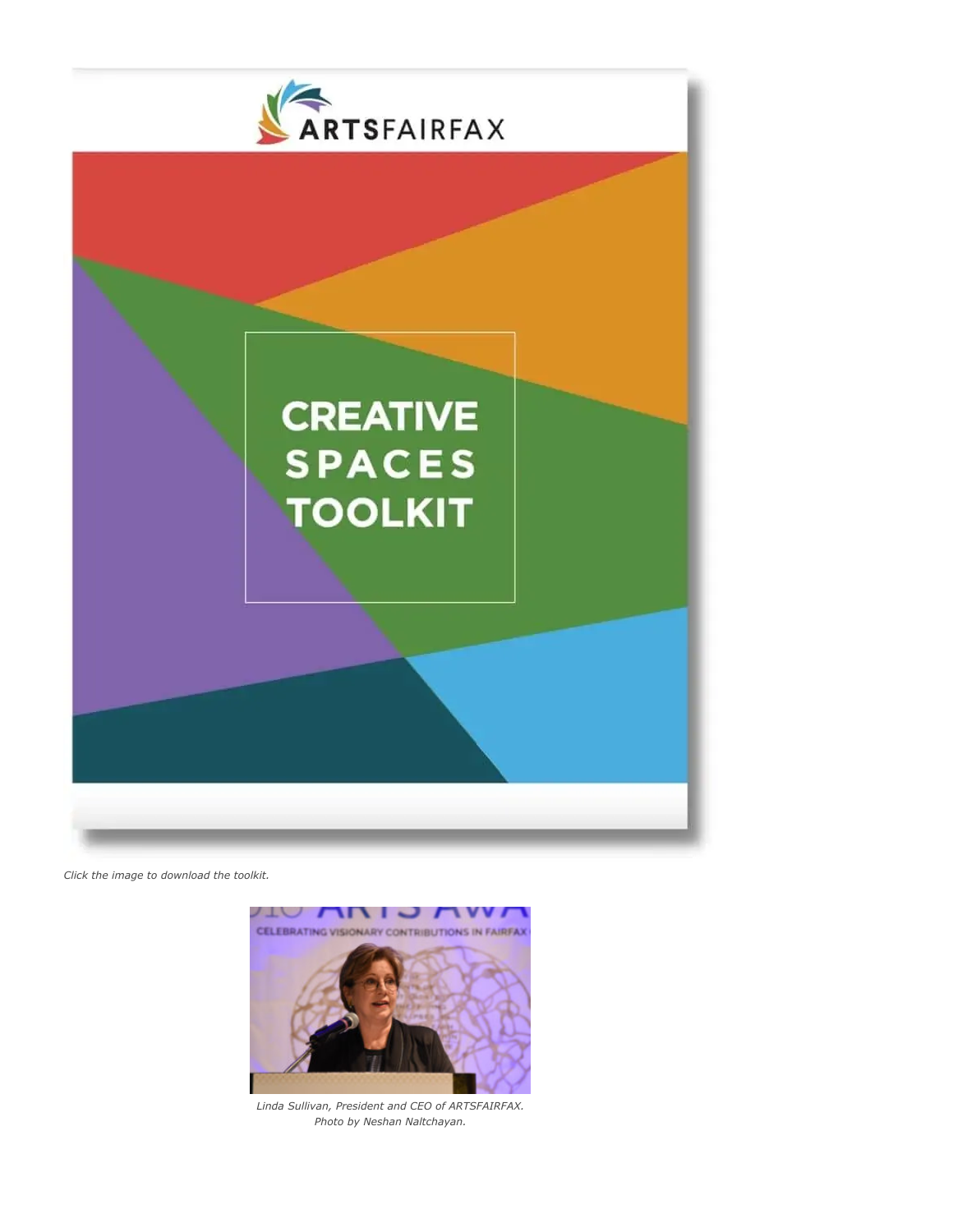

*Click the image to download the toolkit.*



*Linda Sullivan, President and CEO of ARTSFAIRFAX. Photo by Neshan Naltchayan.*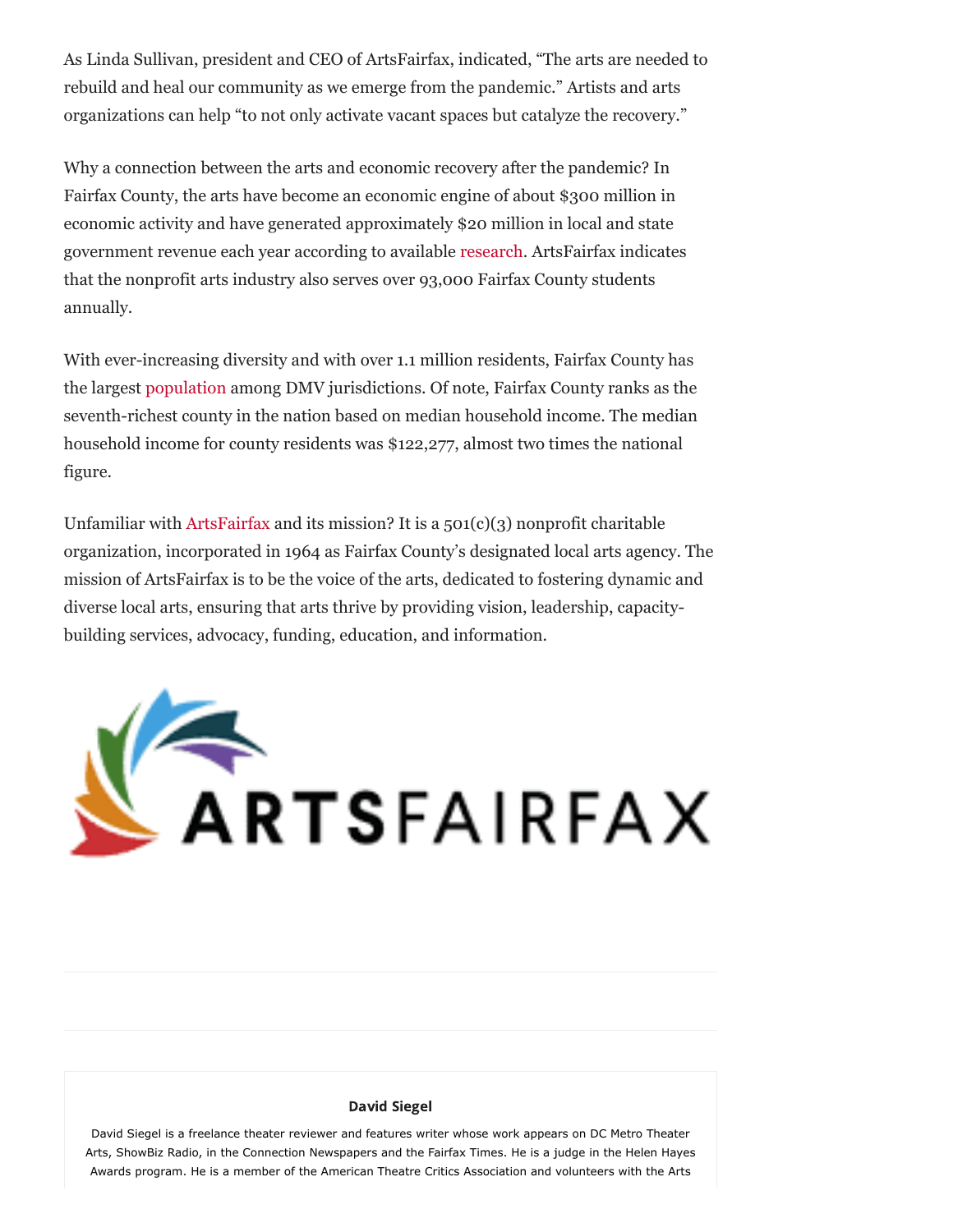As Linda Sullivan, president and CEO of ArtsFairfax, indicated, "The arts are needed to rebuild and heal our community as we emerge from the pandemic." Artists and arts organizations can help "to not only activate vacant spaces but catalyze the recovery."

Why a connection between the arts and economic recovery after the pandemic? In Fairfax County, the arts have become an economic engine of about \$300 million in economic activity and have generated approximately \$20 million in local and state government revenue each year according to available [research.](https://artsfairfax.org/research/) ArtsFairfax indicates that the nonprofit arts industry also serves over 93,000 Fairfax County students annually.

With ever-increasing diversity and with over 1.1 million residents, Fairfax County has the largest [population](https://www.census.gov/quickfacts/fairfaxcountyvirginia) among DMV jurisdictions. Of note, Fairfax County ranks as the seventh-richest county in the nation based on median household income. The median household income for county residents was \$122,277, almost two times the national figure.

Unfamiliar with [ArtsFairfax](https://artsfairfax.org/) and its mission? It is a  $501(c)(3)$  nonprofit charitable organization, incorporated in 1964 as Fairfax County's designated local arts agency. The mission of ArtsFairfax is to be the voice of the arts, dedicated to fostering dynamic and diverse local arts, ensuring that arts thrive by providing vision, leadership, capacitybuilding services, advocacy, funding, education, and information.



## [David Siegel](https://dcmetrotheaterarts.com/author/david-siegel/)

David Siegel is a freelance theater reviewer and features writer whose work appears on DC Metro Theater Arts, ShowBiz Radio, in the Connection Newspapers and the Fairfax Times. He is a judge in the Helen Hayes Awards program. He is a member of the American Theatre Critics Association and volunteers with the Arts